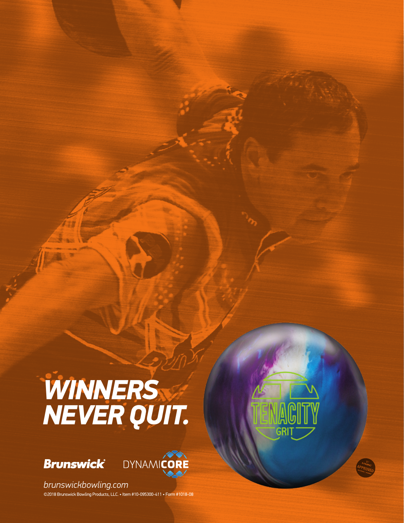## *WINNERS NEVER QUIT.*





©2018 Brunswick Bowling Products, LLC. • Item #10-095300-411 • Form #1018-08 *brunswickbowling.com*